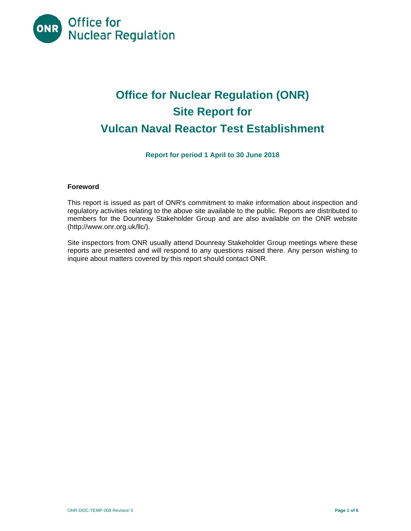

# **Office for Nuclear Regulation (ONR) Site Report for Vulcan Naval Reactor Test Establishment**

**Report for period 1 April to 30 June 2018** 

## **Foreword**

This report is issued as part of ONR's commitment to make information about inspection and regulatory activities relating to the above site available to the public. Reports are distributed to members for the Dounreay Stakeholder Group and are also available on the ONR website (http://www.onr.org.uk/llc/).

Site inspectors from ONR usually attend Dounreay Stakeholder Group meetings where these reports are presented and will respond to any questions raised there. Any person wishing to inquire about matters covered by this report should contact ONR.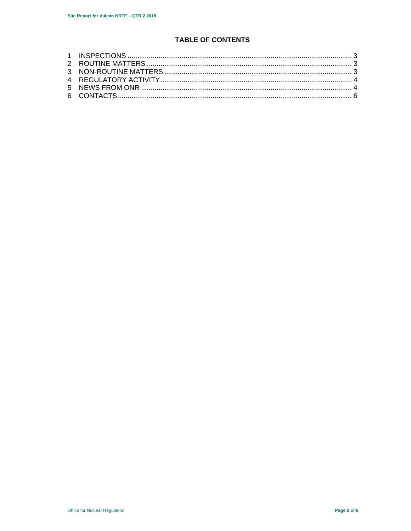# **TABLE OF CONTENTS**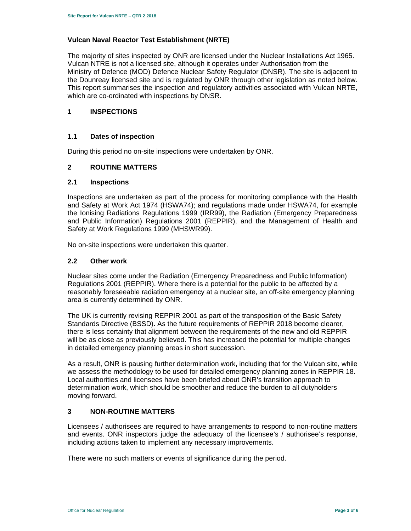# **Vulcan Naval Reactor Test Establishment (NRTE)**

The majority of sites inspected by ONR are licensed under the Nuclear Installations Act 1965. Vulcan NTRE is not a licensed site, although it operates under Authorisation from the Ministry of Defence (MOD) Defence Nuclear Safety Regulator (DNSR). The site is adjacent to the Dounreay licensed site and is regulated by ONR through other legislation as noted below. This report summarises the inspection and regulatory activities associated with Vulcan NRTE, which are co-ordinated with inspections by DNSR.

## **1 INSPECTIONS**

## **1.1 Dates of inspection**

During this period no on-site inspections were undertaken by ONR.

## **2 ROUTINE MATTERS**

#### **2.1 Inspections**

Inspections are undertaken as part of the process for monitoring compliance with the Health and Safety at Work Act 1974 (HSWA74); and regulations made under HSWA74, for example the Ionising Radiations Regulations 1999 (IRR99), the Radiation (Emergency Preparedness and Public Information) Regulations 2001 (REPPIR), and the Management of Health and Safety at Work Regulations 1999 (MHSWR99).

No on-site inspections were undertaken this quarter.

#### **2.2 Other work**

Nuclear sites come under the Radiation (Emergency Preparedness and Public Information) Regulations 2001 (REPPIR). Where there is a potential for the public to be affected by a reasonably foreseeable radiation emergency at a nuclear site, an off-site emergency planning area is currently determined by ONR.

The UK is currently revising REPPIR 2001 as part of the transposition of the Basic Safety Standards Directive (BSSD). As the future requirements of REPPIR 2018 become clearer, there is less certainty that alignment between the requirements of the new and old REPPIR will be as close as previously believed. This has increased the potential for multiple changes in detailed emergency planning areas in short succession.

As a result, ONR is pausing further determination work, including that for the Vulcan site, while we assess the methodology to be used for detailed emergency planning zones in REPPIR 18. Local authorities and licensees have been briefed about ONR's transition approach to determination work, which should be smoother and reduce the burden to all dutyholders moving forward.

## **3 NON-ROUTINE MATTERS**

Licensees / authorisees are required to have arrangements to respond to non-routine matters and events. ONR inspectors judge the adequacy of the licensee's / authorisee's response, including actions taken to implement any necessary improvements.

There were no such matters or events of significance during the period.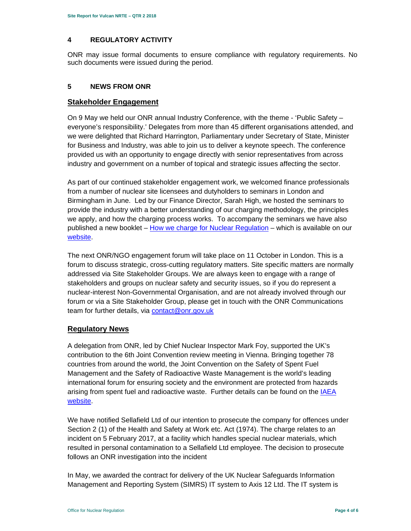## **4 REGULATORY ACTIVITY**

ONR may issue formal documents to ensure compliance with regulatory requirements. No such documents were issued during the period.

### **5 NEWS FROM ONR**

## **Stakeholder Engagement**

On 9 May we held our ONR annual Industry Conference, with the theme - 'Public Safety – everyone's responsibility.' Delegates from more than 45 different organisations attended, and we were delighted that Richard Harrington, Parliamentary under Secretary of State, Minister for Business and Industry, was able to join us to deliver a keynote speech. The conference provided us with an opportunity to engage directly with senior representatives from across industry and government on a number of topical and strategic issues affecting the sector.

As part of our continued stakeholder engagement work, we welcomed finance professionals from a number of nuclear site licensees and dutyholders to seminars in London and Birmingham in June. Led by our Finance Director, Sarah High, we hosted the seminars to provide the industry with a better understanding of our charging methodology, the principles we apply, and how the charging process works. To accompany the seminars we have also published a new booklet – How we charge for Nuclear Regulation – which is available on our website.

The next ONR/NGO engagement forum will take place on 11 October in London. This is a forum to discuss strategic, cross-cutting regulatory matters. Site specific matters are normally addressed via Site Stakeholder Groups. We are always keen to engage with a range of stakeholders and groups on nuclear safety and security issues, so if you do represent a nuclear-interest Non-Governmental Organisation, and are not already involved through our forum or via a Site Stakeholder Group, please get in touch with the ONR Communications team for further details, via contact@onr.gov.uk

# **Regulatory News**

A delegation from ONR, led by Chief Nuclear Inspector Mark Foy, supported the UK's contribution to the 6th Joint Convention review meeting in Vienna. Bringing together 78 countries from around the world, the Joint Convention on the Safety of Spent Fuel Management and the Safety of Radioactive Waste Management is the world's leading international forum for ensuring society and the environment are protected from hazards arising from spent fuel and radioactive waste. Further details can be found on the IAEA website.

We have notified Sellafield Ltd of our intention to prosecute the company for offences under Section 2 (1) of the Health and Safety at Work etc. Act (1974). The charge relates to an incident on 5 February 2017, at a facility which handles special nuclear materials, which resulted in personal contamination to a Sellafield Ltd employee. The decision to prosecute follows an ONR investigation into the incident

In May, we awarded the contract for delivery of the UK Nuclear Safeguards Information Management and Reporting System (SIMRS) IT system to Axis 12 Ltd. The IT system is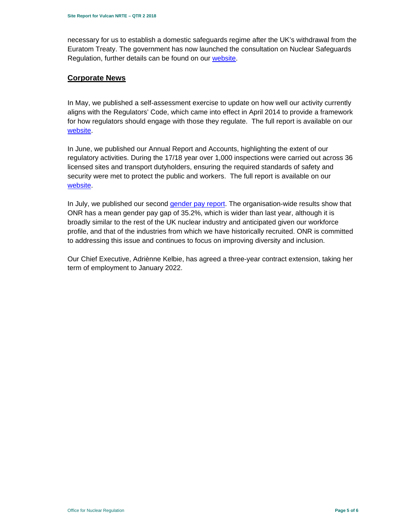necessary for us to establish a domestic safeguards regime after the UK's withdrawal from the Euratom Treaty. The government has now launched the consultation on Nuclear Safeguards Regulation, further details can be found on our website.

## **Corporate News**

In May, we published a self-assessment exercise to update on how well our activity currently aligns with the Regulators' Code, which came into effect in April 2014 to provide a framework for how regulators should engage with those they regulate. The full report is available on our website.

In June, we published our Annual Report and Accounts, highlighting the extent of our regulatory activities. During the 17/18 year over 1,000 inspections were carried out across 36 licensed sites and transport dutyholders, ensuring the required standards of safety and security were met to protect the public and workers. The full report is available on our website.

In July, we published our second gender pay report. The organisation-wide results show that ONR has a mean gender pay gap of 35.2%, which is wider than last year, although it is broadly similar to the rest of the UK nuclear industry and anticipated given our workforce profile, and that of the industries from which we have historically recruited. ONR is committed to addressing this issue and continues to focus on improving diversity and inclusion.

Our Chief Executive, Adriènne Kelbie, has agreed a three-year contract extension, taking her term of employment to January 2022.